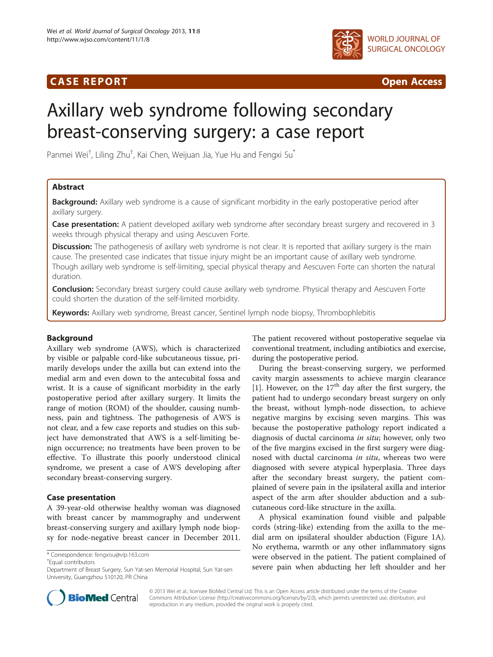# CA S E R E POR T Open Access



# Axillary web syndrome following secondary breast-conserving surgery: a case report

Panmei Wei<sup>†</sup>, Liling Zhu<sup>†</sup>, Kai Chen, Weijuan Jia, Yue Hu and Fengxi Su<sup>\*</sup>

# Abstract

**Background:** Axillary web syndrome is a cause of significant morbidity in the early postoperative period after axillary surgery.

Case presentation: A patient developed axillary web syndrome after secondary breast surgery and recovered in 3 weeks through physical therapy and using Aescuven Forte.

Discussion: The pathogenesis of axillary web syndrome is not clear. It is reported that axillary surgery is the main cause. The presented case indicates that tissue injury might be an important cause of axillary web syndrome. Though axillary web syndrome is self-limiting, special physical therapy and Aescuven Forte can shorten the natural duration.

**Conclusion:** Secondary breast surgery could cause axillary web syndrome. Physical therapy and Aescuven Forte could shorten the duration of the self-limited morbidity.

Keywords: Axillary web syndrome, Breast cancer, Sentinel lymph node biopsy, Thrombophlebitis

# Background

Axillary web syndrome (AWS), which is characterized by visible or palpable cord-like subcutaneous tissue, primarily develops under the axilla but can extend into the medial arm and even down to the antecubital fossa and wrist. It is a cause of significant morbidity in the early postoperative period after axillary surgery. It limits the range of motion (ROM) of the shoulder, causing numbness, pain and tightness. The pathogenesis of AWS is not clear, and a few case reports and studies on this subject have demonstrated that AWS is a self-limiting benign occurrence; no treatments have been proven to be effective. To illustrate this poorly understood clinical syndrome, we present a case of AWS developing after secondary breast-conserving surgery.

# Case presentation

A 39-year-old otherwise healthy woman was diagnosed with breast cancer by mammography and underwent breast-conserving surgery and axillary lymph node biopsy for node-negative breast cancer in December 2011.

Equal contributors

The patient recovered without postoperative sequelae via conventional treatment, including antibiotics and exercise, during the postoperative period.

During the breast-conserving surgery, we performed cavity margin assessments to achieve margin clearance [[1\]](#page-3-0). However, on the  $17<sup>th</sup>$  day after the first surgery, the patient had to undergo secondary breast surgery on only the breast, without lymph-node dissection, to achieve negative margins by excising seven margins. This was because the postoperative pathology report indicated a diagnosis of ductal carcinoma in situ; however, only two of the five margins excised in the first surgery were diagnosed with ductal carcinoma in situ, whereas two were diagnosed with severe atypical hyperplasia. Three days after the secondary breast surgery, the patient complained of severe pain in the ipsilateral axilla and interior aspect of the arm after shoulder abduction and a subcutaneous cord-like structure in the axilla.

A physical examination found visible and palpable cords (string-like) extending from the axilla to the medial arm on ipsilateral shoulder abduction (Figure [1](#page-1-0)A). No erythema, warmth or any other inflammatory signs were observed in the patient. The patient complained of severe pain when abducting her left shoulder and her



© 2013 Wei et al.; licensee BioMed Central Ltd. This is an Open Access article distributed under the terms of the Creative Commons Attribution License [\(http://creativecommons.org/licenses/by/2.0\)](http://creativecommons.org/licenses/by/2.0), which permits unrestricted use, distribution, and reproduction in any medium, provided the original work is properly cited.

<sup>\*</sup> Correspondence: [fengxisu@vip.163.com](mailto:fengxisu@vip.163.com) †

Department of Breast Surgery, Sun Yat-sen Memorial Hospital, Sun Yat-sen University, Guangzhou 510120, PR China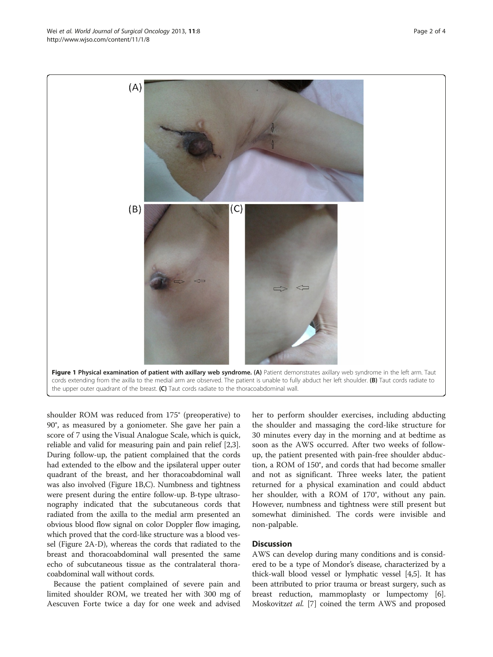shoulder ROM was reduced from 175° (preoperative) to 90°, as measured by a goniometer. She gave her pain a score of 7 using the Visual Analogue Scale, which is quick, reliable and valid for measuring pain and pain relief [[2](#page-3-0),[3](#page-3-0)]. During follow-up, the patient complained that the cords had extended to the elbow and the ipsilateral upper outer quadrant of the breast, and her thoracoabdominal wall was also involved (Figure 1B,C). Numbness and tightness were present during the entire follow-up. B-type ultrasonography indicated that the subcutaneous cords that radiated from the axilla to the medial arm presented an obvious blood flow signal on color Doppler flow imaging, which proved that the cord-like structure was a blood vessel (Figure [2](#page-2-0)A-D), whereas the cords that radiated to the breast and thoracoabdominal wall presented the same echo of subcutaneous tissue as the contralateral thora-

Because the patient complained of severe pain and limited shoulder ROM, we treated her with 300 mg of Aescuven Forte twice a day for one week and advised

coabdominal wall without cords.

her to perform shoulder exercises, including abducting the shoulder and massaging the cord-like structure for 30 minutes every day in the morning and at bedtime as soon as the AWS occurred. After two weeks of followup, the patient presented with pain-free shoulder abduction, a ROM of 150°, and cords that had become smaller and not as significant. Three weeks later, the patient returned for a physical examination and could abduct her shoulder, with a ROM of 170°, without any pain. However, numbness and tightness were still present but somewhat diminished. The cords were invisible and non-palpable.

## **Discussion**

AWS can develop during many conditions and is considered to be a type of Mondor's disease, characterized by a thick-wall blood vessel or lymphatic vessel [\[4,5](#page-3-0)]. It has been attributed to prior trauma or breast surgery, such as breast reduction, mammoplasty or lumpectomy [[6](#page-3-0)]. Moskovitzet al. [[7](#page-3-0)] coined the term AWS and proposed

<span id="page-1-0"></span>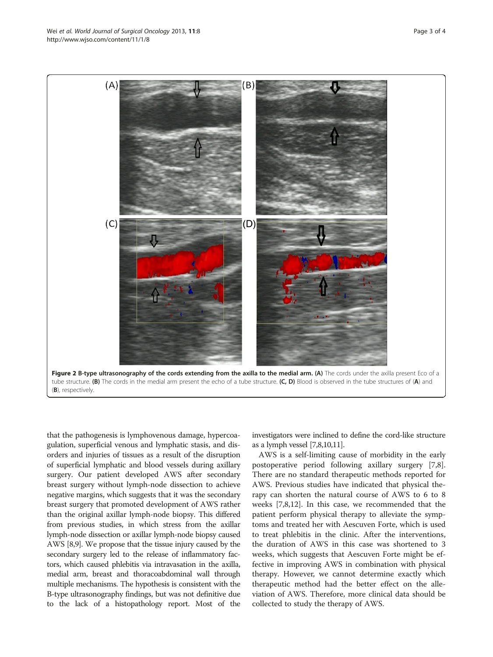<span id="page-2-0"></span>

(B), respectively.

that the pathogenesis is lymphovenous damage, hypercoagulation, superficial venous and lymphatic stasis, and disorders and injuries of tissues as a result of the disruption of superficial lymphatic and blood vessels during axillary surgery. Our patient developed AWS after secondary breast surgery without lymph-node dissection to achieve negative margins, which suggests that it was the secondary breast surgery that promoted development of AWS rather than the original axillar lymph-node biopsy. This differed from previous studies, in which stress from the axillar lymph-node dissection or axillar lymph-node biopsy caused AWS [[8,9](#page-3-0)]. We propose that the tissue injury caused by the secondary surgery led to the release of inflammatory factors, which caused phlebitis via intravasation in the axilla, medial arm, breast and thoracoabdominal wall through multiple mechanisms. The hypothesis is consistent with the B-type ultrasonography findings, but was not definitive due to the lack of a histopathology report. Most of the

investigators were inclined to define the cord-like structure as a lymph vessel [\[7,8,10,11](#page-3-0)].

AWS is a self-limiting cause of morbidity in the early postoperative period following axillary surgery [\[7,8](#page-3-0)]. There are no standard therapeutic methods reported for AWS. Previous studies have indicated that physical therapy can shorten the natural course of AWS to 6 to 8 weeks [[7,8,12\]](#page-3-0). In this case, we recommended that the patient perform physical therapy to alleviate the symptoms and treated her with Aescuven Forte, which is used to treat phlebitis in the clinic. After the interventions, the duration of AWS in this case was shortened to 3 weeks, which suggests that Aescuven Forte might be effective in improving AWS in combination with physical therapy. However, we cannot determine exactly which therapeutic method had the better effect on the alleviation of AWS. Therefore, more clinical data should be collected to study the therapy of AWS.